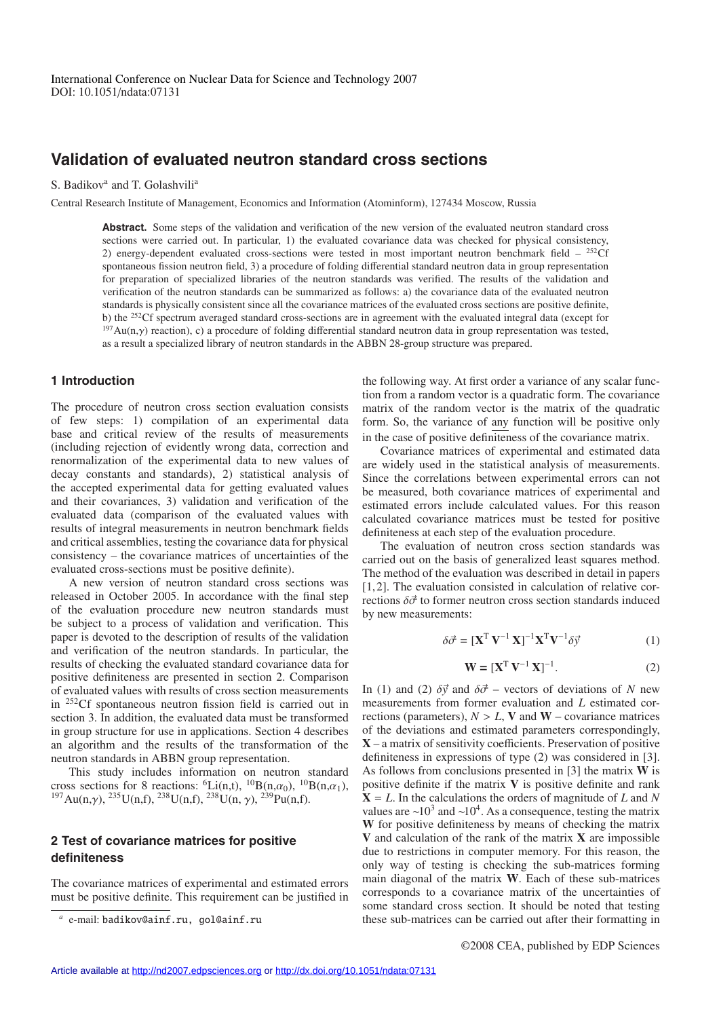# **Validation of evaluated neutron standard cross sections**

S. Badikov<sup>a</sup> and T. Golashvili<sup>a</sup>

Central Research Institute of Management, Economics and Information (Atominform), 127434 Moscow, Russia

**Abstract.** Some steps of the validation and verification of the new version of the evaluated neutron standard cross sections were carried out. In particular, 1) the evaluated covariance data was checked for physical consistency, 2) energy-dependent evaluated cross-sections were tested in most important neutron benchmark field  $-$  <sup>252</sup>Cf spontaneous fission neutron field, 3) a procedure of folding differential standard neutron data in group representation for preparation of specialized libraries of the neutron standards was verified. The results of the validation and verification of the neutron standards can be summarized as follows: a) the covariance data of the evaluated neutron standards is physically consistent since all the covariance matrices of the evaluated cross sections are positive definite, b) the 252Cf spectrum averaged standard cross-sections are in agreement with the evaluated integral data (except for  $197$ Au(n, $\gamma$ ) reaction), c) a procedure of folding differential standard neutron data in group representation was tested, as a result a specialized library of neutron standards in the ABBN 28-group structure was prepared.

### **1 Introduction**

The procedure of neutron cross section evaluation consists of few steps: 1) compilation of an experimental data base and critical review of the results of measurements (including rejection of evidently wrong data, correction and renormalization of the experimental data to new values of decay constants and standards), 2) statistical analysis of the accepted experimental data for getting evaluated values and their covariances, 3) validation and verification of the evaluated data (comparison of the evaluated values with results of integral measurements in neutron benchmark fields and critical assemblies, testing the covariance data for physical consistency – the covariance matrices of uncertainties of the evaluated cross-sections must be positive definite).

A new version of neutron standard cross sections was released in October 2005. In accordance with the final step of the evaluation procedure new neutron standards must be subject to a process of validation and verification. This paper is devoted to the description of results of the validation and verification of the neutron standards. In particular, the results of checking the evaluated standard covariance data for positive definiteness are presented in section 2. Comparison of evaluated values with results of cross section measurements in 252Cf spontaneous neutron fission field is carried out in section 3. In addition, the evaluated data must be transformed in group structure for use in applications. Section 4 describes an algorithm and the results of the transformation of the neutron standards in ABBN group representation.

This study includes information on neutron standard cross sections for 8 reactions:  ${}^{6}$ Li(n,t),  ${}^{10}$ B(n, $\alpha_0$ ),  ${}^{10}$ B(n, $\alpha_1$ ),  $^{197}Au(n,\gamma)$ ,  $^{235}U(n,f)$ ,  $^{238}U(n,f)$ ,  $^{238}U(n,\gamma)$ ,  $^{239}Pu(n,f)$ .

## **2 Test of covariance matrices for positive definiteness**

The covariance matrices of experimental and estimated errors must be positive definite. This requirement can be justified in the following way. At first order a variance of any scalar function from a random vector is a quadratic form. The covariance matrix of the random vector is the matrix of the quadratic form. So, the variance of any function will be positive only in the case of positive definiteness of the covariance matrix.

Covariance matrices of experimental and estimated data are widely used in the statistical analysis of measurements. Since the correlations between experimental errors can not be measured, both covariance matrices of experimental and estimated errors include calculated values. For this reason calculated covariance matrices must be tested for positive definiteness at each step of the evaluation procedure.

The evaluation of neutron cross section standards was carried out on the basis of generalized least squares method. The method of the evaluation was described in detail in papers [1, 2]. The evaluation consisted in calculation of relative corrections  $\delta \vec{\sigma}$  to former neutron cross section standards induced by new measurements:

$$
\delta \vec{\sigma} = [\mathbf{X}^{\mathrm{T}} \, \mathbf{V}^{-1} \, \mathbf{X}]^{-1} \mathbf{X}^{\mathrm{T}} \mathbf{V}^{-1} \delta \vec{y} \tag{1}
$$

$$
\mathbf{W} = [\mathbf{X}^{\mathrm{T}} \mathbf{V}^{-1} \mathbf{X}]^{-1}.
$$
 (2)

In (1) and (2)  $\delta \vec{v}$  and  $\delta \vec{\sigma}$  – vectors of deviations of *N* new measurements from former evaluation and *L* estimated corrections (parameters),  $N > L$ , **V** and **W** – covariance matrices of the deviations and estimated parameters correspondingly, **X** – a matrix of sensitivity coefficients. Preservation of positive definiteness in expressions of type (2) was considered in [3]. As follows from conclusions presented in [3] the matrix **W** is positive definite if the matrix **V** is positive definite and rank **X** = *L*. In the calculations the orders of magnitude of *L* and *N* values are ~10<sup>3</sup> and ~10<sup>4</sup>. As a consequence, testing the matrix **W** for positive definiteness by means of checking the matrix **V** and calculation of the rank of the matrix **X** are impossible due to restrictions in computer memory. For this reason, the only way of testing is checking the sub-matrices forming main diagonal of the matrix **W**. Each of these sub-matrices corresponds to a covariance matrix of the uncertainties of some standard cross section. It should be noted that testing these sub-matrices can be carried out after their formatting in

©2008 CEA, published by EDP Sciences

*<sup>a</sup>* e-mail: badikov@ainf.ru, gol@ainf.ru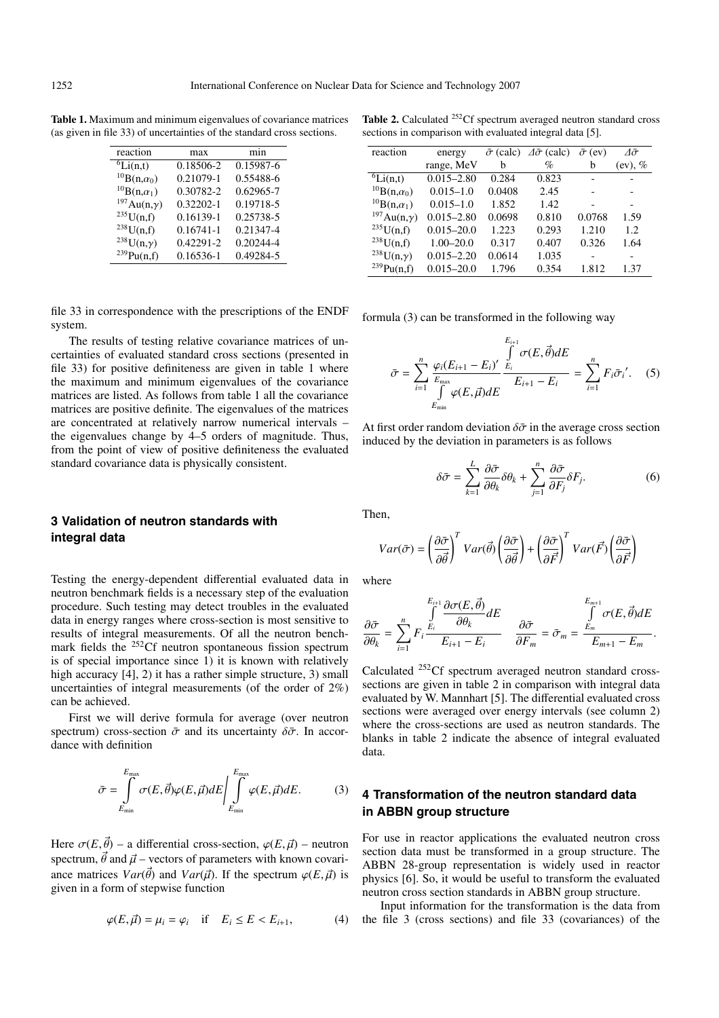**Table 1.** Maximum and minimum eigenvalues of covariance matrices (as given in file 33) of uncertainties of the standard cross sections.

| reaction                        | max           | mın       |  |  |
|---------------------------------|---------------|-----------|--|--|
| $\overline{{}^6\text{Li}(n,t)}$ | 0.18506-2     | 0.15987-6 |  |  |
| $^{10}B(n,\alpha_0)$            | 0.21079-1     | 0.55488-6 |  |  |
| ${}^{10}B(n,\alpha_1)$          | 0.30782-2     | 0.62965-7 |  |  |
| $^{197}Au(n,\gamma)$            | $0.32202 - 1$ | 0.19718-5 |  |  |
| $^{235}U(n,f)$                  | 0.16139-1     | 0.25738-5 |  |  |
| $^{238}U(n,f)$                  | $0.16741 - 1$ | 0.21347-4 |  |  |
| $^{238}U(n,\gamma)$             | 0.42291-2     | 0.20244-4 |  |  |
| $^{239}Pu(n,f)$                 | 0.16536-1     | 0.49284-5 |  |  |

file 33 in correspondence with the prescriptions of the ENDF system.

The results of testing relative covariance matrices of uncertainties of evaluated standard cross sections (presented in file 33) for positive definiteness are given in table 1 where the maximum and minimum eigenvalues of the covariance matrices are listed. As follows from table 1 all the covariance matrices are positive definite. The eigenvalues of the matrices are concentrated at relatively narrow numerical intervals – the eigenvalues change by 4–5 orders of magnitude. Thus, from the point of view of positive definiteness the evaluated standard covariance data is physically consistent.

## **3 Validation of neutron standards with integral data**

Testing the energy-dependent differential evaluated data in neutron benchmark fields is a necessary step of the evaluation procedure. Such testing may detect troubles in the evaluated data in energy ranges where cross-section is most sensitive to results of integral measurements. Of all the neutron benchmark fields the <sup>252</sup>Cf neutron spontaneous fission spectrum is of special importance since 1) it is known with relatively high accuracy [4], 2) it has a rather simple structure, 3) small uncertainties of integral measurements (of the order of 2%) can be achieved.

First we will derive formula for average (over neutron spectrum) cross-section  $\bar{\sigma}$  and its uncertainty  $\delta \bar{\sigma}$ . In accordance with definition

$$
\bar{\sigma} = \int_{E_{\min}}^{E_{\max}} \sigma(E, \vec{\theta}) \varphi(E, \vec{\mu}) dE \Bigg| \int_{E_{\min}}^{E_{\max}} \varphi(E, \vec{\mu}) dE. \tag{3}
$$

Here  $\sigma(E, \vec{\theta})$  – a differential cross-section,  $\varphi(E, \vec{\mu})$  – neutron spectrum,  $\vec{\theta}$  and  $\vec{\mu}$  – vectors of parameters with known covariance matrices  $Var(\vec{\theta})$  and  $Var(\vec{\mu})$ . If the spectrum  $\varphi(E, \vec{\mu})$  is given in a form of stepwise function

$$
\varphi(E,\vec{\mu}) = \mu_i = \varphi_i \quad \text{if} \quad E_i \le E < E_{i+1},\tag{4}
$$

**Table 2.** Calculated <sup>252</sup>Cf spectrum averaged neutron standard cross sections in comparison with evaluated integral data [5].

| reaction                        | energy         | $\bar{\sigma}$ (calc) | $\Delta\bar{\sigma}$ (calc) | $\bar{\sigma}$ (ev) | Λō      |
|---------------------------------|----------------|-----------------------|-----------------------------|---------------------|---------|
|                                 | range, MeV     | h                     | $\%$                        | b                   | (ev), % |
| $\overline{{}^6\text{Li}}(n,t)$ | $0.015 - 2.80$ | 0.284                 | 0.823                       |                     |         |
| $^{10}B(n,\alpha_0)$            | $0.015 - 1.0$  | 0.0408                | 2.45                        |                     |         |
| $^{10}B(n,\alpha_1)$            | $0.015 - 1.0$  | 1.852                 | 1.42                        |                     |         |
| $197$ Au(n, $\gamma$ )          | $0.015 - 2.80$ | 0.0698                | 0.810                       | 0.0768              | 1.59    |
| $^{235}U(n,f)$                  | $0.015 - 20.0$ | 1.223                 | 0.293                       | 1.210               | 1.2     |
| $^{238}U(n,f)$                  | $1.00 - 20.0$  | 0.317                 | 0.407                       | 0.326               | 1.64    |
| <sup>238</sup> U(n, $\gamma$ )  | $0.015 - 2.20$ | 0.0614                | 1.035                       |                     | -       |
| $^{239}Pu(n,f)$                 | $0.015 - 20.0$ | 1.796                 | 0.354                       | 1.812               | 1.37    |

formula (3) can be transformed in the following way

$$
\bar{\sigma} = \sum_{i=1}^{n} \frac{\varphi_i (E_{i+1} - E_i)'}{E_{\text{max}}}
$$
\n
$$
\bar{\sigma} = \sum_{i=1}^{n} \frac{\varphi_i (E_{i+1} - E_i)'}{E_{\text{max}}}
$$
\n
$$
E_{i+1} - E_i = \sum_{i=1}^{n} F_i \bar{\sigma_i}'.
$$
\n(5)

At first order random deviation  $\delta\bar{\sigma}$  in the average cross section induced by the deviation in parameters is as follows

$$
\delta \bar{\sigma} = \sum_{k=1}^{L} \frac{\partial \bar{\sigma}}{\partial \theta_k} \delta \theta_k + \sum_{j=1}^{n} \frac{\partial \bar{\sigma}}{\partial F_j} \delta F_j. \tag{6}
$$

Then,

$$
Var(\bar{\sigma}) = \left(\frac{\partial \bar{\sigma}}{\partial \vec{\theta}}\right)^T Var(\vec{\theta}) \left(\frac{\partial \bar{\sigma}}{\partial \vec{\theta}}\right) + \left(\frac{\partial \bar{\sigma}}{\partial \vec{F}}\right)^T Var(\vec{F}) \left(\frac{\partial \bar{\sigma}}{\partial \vec{F}}\right)
$$

where

$$
\frac{\partial \bar{\sigma}}{\partial \theta_k} = \sum_{i=1}^n F_i \frac{\int\limits_{E_i}^{E_{i+1}} \frac{\partial \sigma(E, \vec{\theta})}{\partial \theta_k} dE}{E_{i+1} - E_i} \quad \frac{\partial \bar{\sigma}}{\partial F_m} = \bar{\sigma}_m = \frac{\int\limits_{E_m}^{E_{m+1}} \sigma(E, \vec{\theta}) dE}{E_{m+1} - E_m}.
$$

Calculated 252Cf spectrum averaged neutron standard crosssections are given in table 2 in comparison with integral data evaluated by W. Mannhart [5]. The differential evaluated cross sections were averaged over energy intervals (see column 2) where the cross-sections are used as neutron standards. The blanks in table 2 indicate the absence of integral evaluated data.

## **4 Transformation of the neutron standard data in ABBN group structure**

For use in reactor applications the evaluated neutron cross section data must be transformed in a group structure. The ABBN 28-group representation is widely used in reactor physics [6]. So, it would be useful to transform the evaluated neutron cross section standards in ABBN group structure.

Input information for the transformation is the data from the file 3 (cross sections) and file 33 (covariances) of the